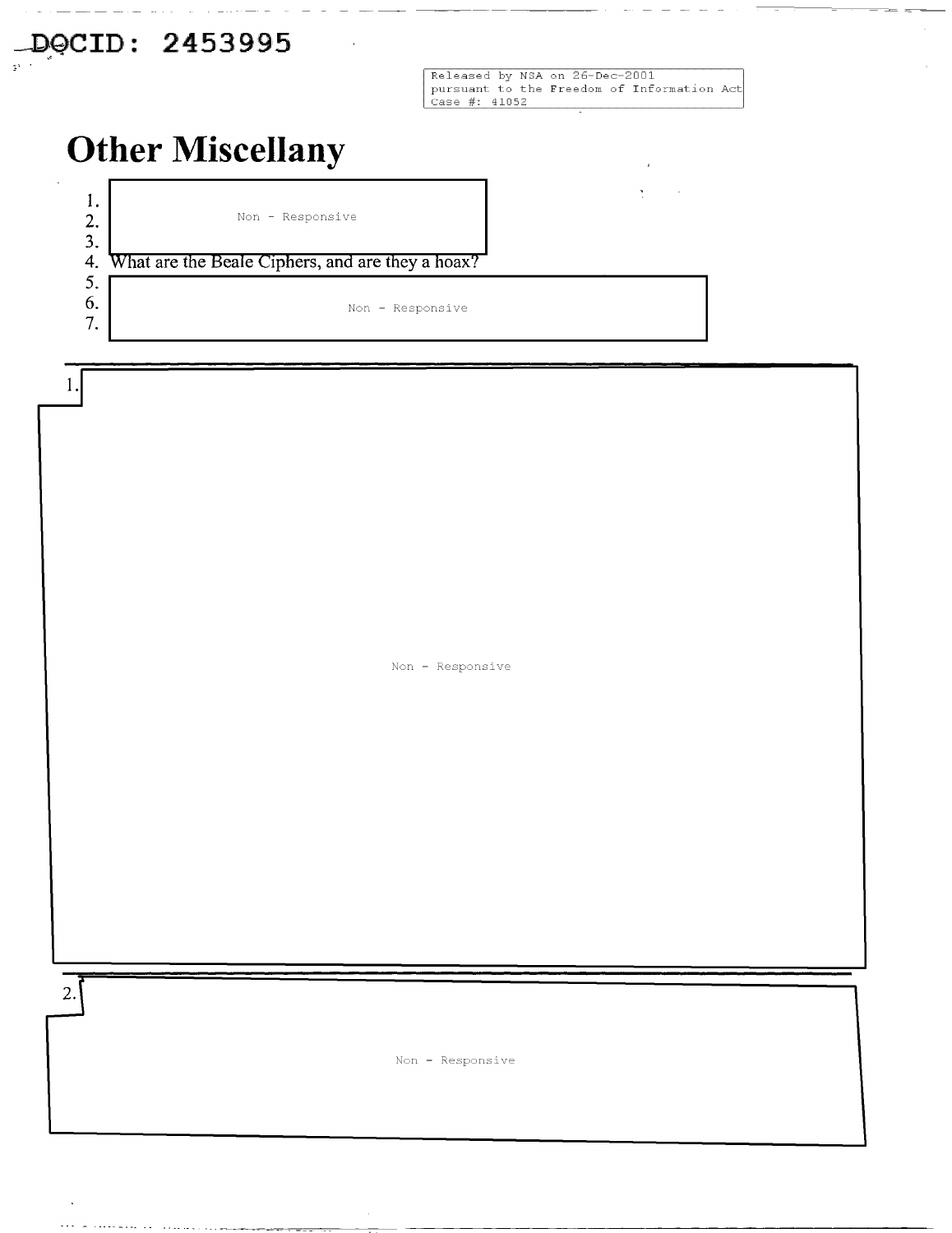## DQCID: 2453995

Released by NSA on 26-Dec-2001<br>pursuant to the Freedom of Information Act  $case #: 41052$ 

## **Other Miscellany**



Non - Responsive

What are the Beale Ciphers, and are they a hoax?

Non - Responsive

----~~---

I.

Non - Responsive

2.

 $\cdots \cdots \cdots \cdots \cdots \cdots$ 

Non - Responsive

----·-- ----~~-~~--- -----------------------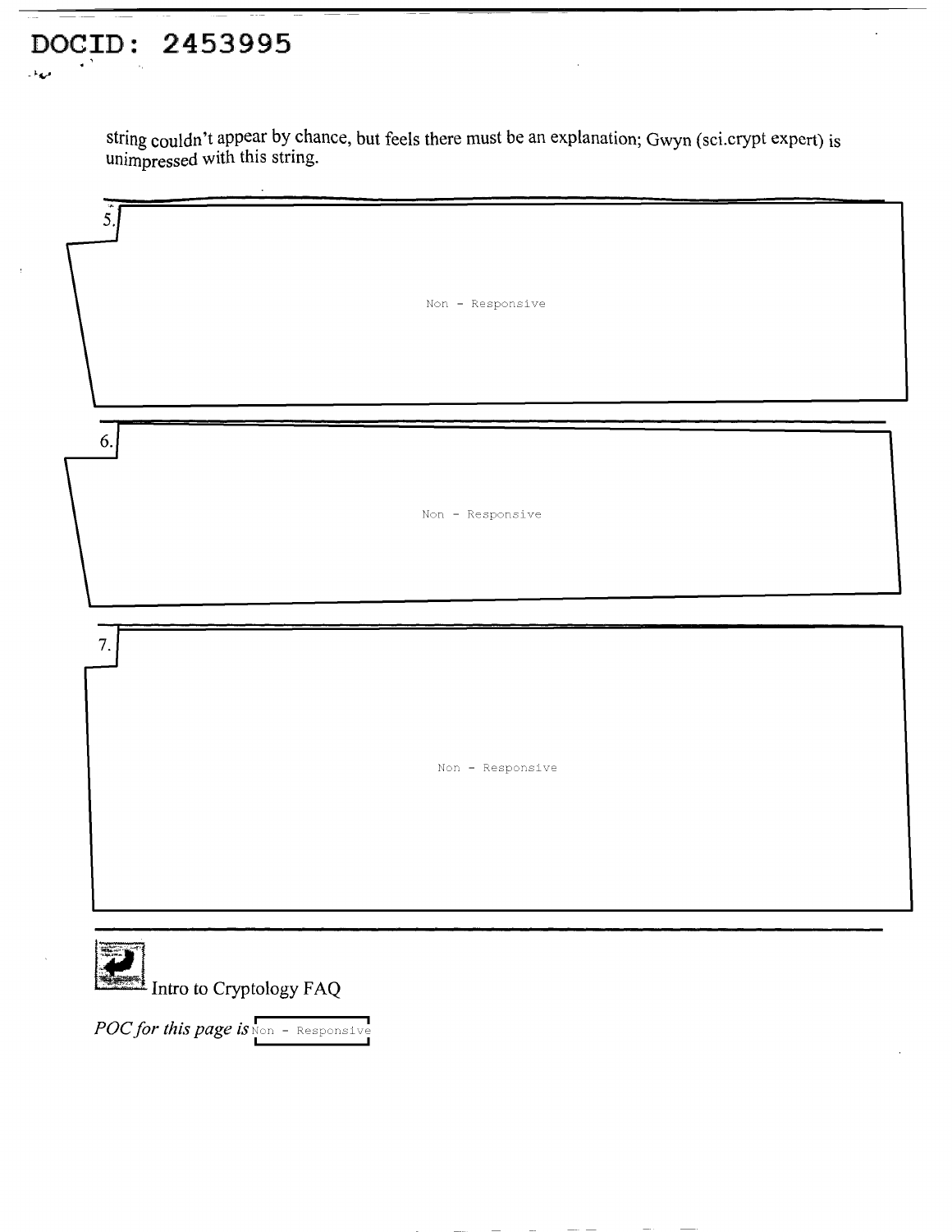## DOCID: 2453995

ممه الم

string couldn't appear by chance, but feels there must be an explanation; Gwyn (sci.crypt expert) is unimpressed with this string.



*POC for this page is* Non - Responsive